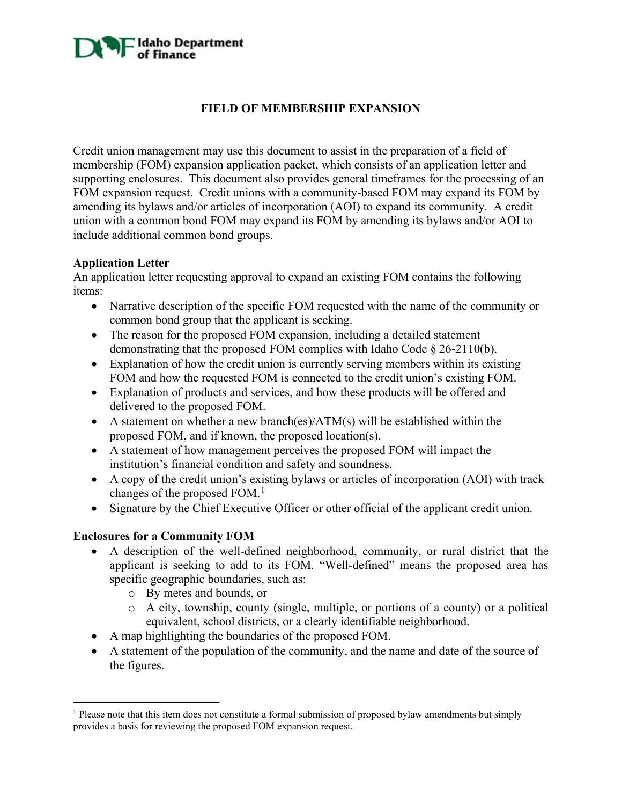# **A** Idaho Department

# **FIELD OF MEMBERSHIP EXPANSION**

Credit union management may use this document to assist in the preparation of a field of membership (FOM) expansion application packet, which consists of an application letter and supporting enclosures. This document also provides general timeframes for the processing of an FOM expansion request. Credit unions with a community-based FOM may expand its FOM by amending its bylaws and/or articles of incorporation (AOI) to expand its community. A credit union with a common bond FOM may expand its FOM by amending its bylaws and/or AOI to include additional common bond groups.

### **Application Letter**

An application letter requesting approval to expand an existing FOM contains the following items:

- Narrative description of the specific FOM requested with the name of the community or common bond group that the applicant is seeking.
- The reason for the proposed FOM expansion, including a detailed statement demonstrating that the proposed FOM complies with Idaho Code § 26-2110(b).
- Explanation of how the credit union is currently serving members within its existing FOM and how the requested FOM is connected to the credit union's existing FOM.
- Explanation of products and services, and how these products will be offered and delivered to the proposed FOM.
- A statement on whether a new branch(es)/ $ATM(s)$  will be established within the proposed FOM, and if known, the proposed location(s).
- A statement of how management perceives the proposed FOM will impact the institution's financial condition and safety and soundness.
- A copy of the credit union's existing bylaws or articles of incorporation (AOI) with track changes of the proposed FOM.<sup>[1](#page-0-0)</sup>
- Signature by the Chief Executive Officer or other official of the applicant credit union.

### **Enclosures for a Community FOM**

- A description of the well-defined neighborhood, community, or rural district that the applicant is seeking to add to its FOM. "Well-defined" means the proposed area has specific geographic boundaries, such as:
	- o By metes and bounds, or
	- o A city, township, county (single, multiple, or portions of a county) or a political equivalent, school districts, or a clearly identifiable neighborhood.
- A map highlighting the boundaries of the proposed FOM.
- A statement of the population of the community, and the name and date of the source of the figures.

<span id="page-0-0"></span><sup>&</sup>lt;sup>1</sup> Please note that this item does not constitute a formal submission of proposed bylaw amendments but simply provides a basis for reviewing the proposed FOM expansion request.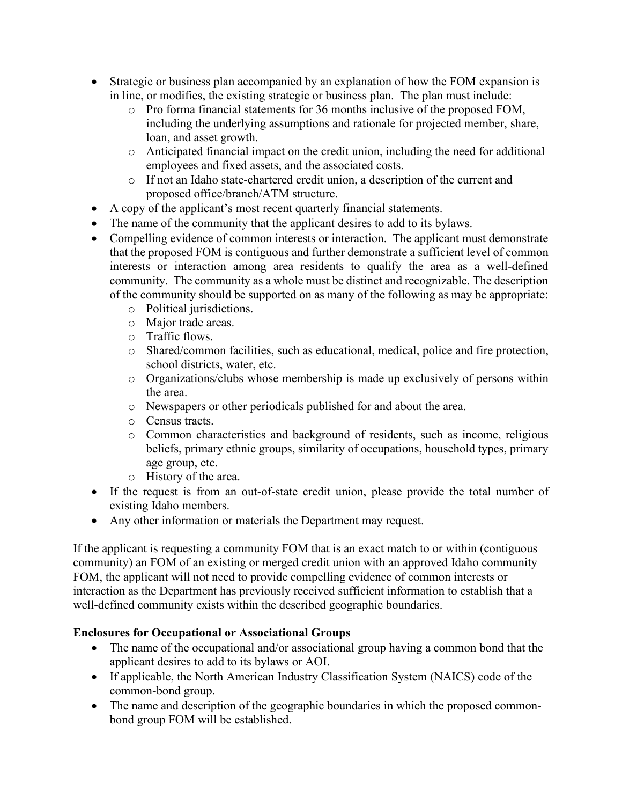- Strategic or business plan accompanied by an explanation of how the FOM expansion is in line, or modifies, the existing strategic or business plan. The plan must include:
	- o Pro forma financial statements for 36 months inclusive of the proposed FOM, including the underlying assumptions and rationale for projected member, share, loan, and asset growth.
	- o Anticipated financial impact on the credit union, including the need for additional employees and fixed assets, and the associated costs.
	- o If not an Idaho state-chartered credit union, a description of the current and proposed office/branch/ATM structure.
- A copy of the applicant's most recent quarterly financial statements.
- The name of the community that the applicant desires to add to its bylaws.
- Compelling evidence of common interests or interaction. The applicant must demonstrate that the proposed FOM is contiguous and further demonstrate a sufficient level of common interests or interaction among area residents to qualify the area as a well-defined community. The community as a whole must be distinct and recognizable. The description of the community should be supported on as many of the following as may be appropriate:
	- o Political jurisdictions.
	- o Major trade areas.
	- o Traffic flows.
	- o Shared/common facilities, such as educational, medical, police and fire protection, school districts, water, etc.
	- o Organizations/clubs whose membership is made up exclusively of persons within the area.
	- o Newspapers or other periodicals published for and about the area.
	- o Census tracts.
	- o Common characteristics and background of residents, such as income, religious beliefs, primary ethnic groups, similarity of occupations, household types, primary age group, etc.
	- o History of the area.
- If the request is from an out-of-state credit union, please provide the total number of existing Idaho members.
- Any other information or materials the Department may request.

If the applicant is requesting a community FOM that is an exact match to or within (contiguous community) an FOM of an existing or merged credit union with an approved Idaho community FOM, the applicant will not need to provide compelling evidence of common interests or interaction as the Department has previously received sufficient information to establish that a well-defined community exists within the described geographic boundaries.

### **Enclosures for Occupational or Associational Groups**

- The name of the occupational and/or associational group having a common bond that the applicant desires to add to its bylaws or AOI.
- If applicable, the North American Industry Classification System (NAICS) code of the common-bond group.
- The name and description of the geographic boundaries in which the proposed commonbond group FOM will be established.